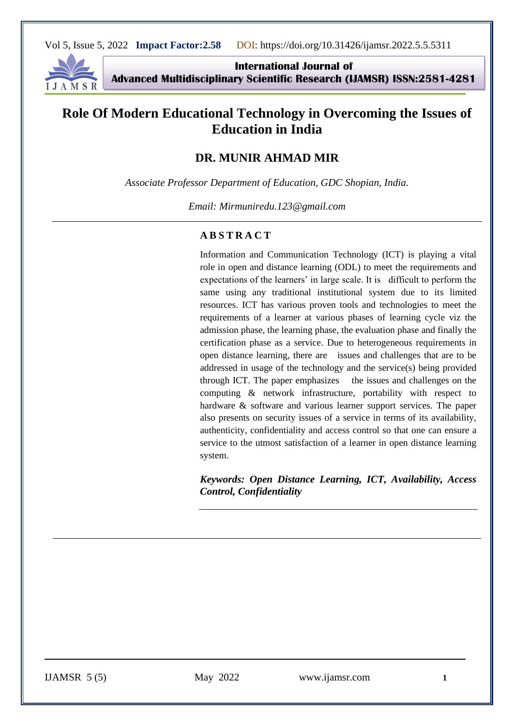

**International Journal of Advanced Multidisciplinary Scientific Research (IJAMSR) ISSN:2581-4281**

# **Role Of Modern Educational Technology in Overcoming the Issues of Education in India**

## **DR. MUNIR AHMAD MIR**

*Associate Professor Department of Education, GDC Shopian, India.*

*Email: Mirmuniredu.123@gmail.com*

#### **A B S T R A C T**

Information and Communication Technology (ICT) is playing a vital role in open and distance learning (ODL) to meet the requirements and expectations of the learners' in large scale. It is difficult to perform the same using any traditional institutional system due to its limited resources. ICT has various proven tools and technologies to meet the requirements of a learner at various phases of learning cycle viz the admission phase, the learning phase, the evaluation phase and finally the certification phase as a service. Due to heterogeneous requirements in open distance learning, there are issues and challenges that are to be addressed in usage of the technology and the service(s) being provided through ICT. The paper emphasizes the issues and challenges on the computing & network infrastructure, portability with respect to hardware & software and various learner support services. The paper also presents on security issues of a service in terms of its availability, authenticity, confidentiality and access control so that one can ensure a service to the utmost satisfaction of a learner in open distance learning system.

*Keywords: Open Distance Learning, ICT, Availability, Access Control, Confidentiality*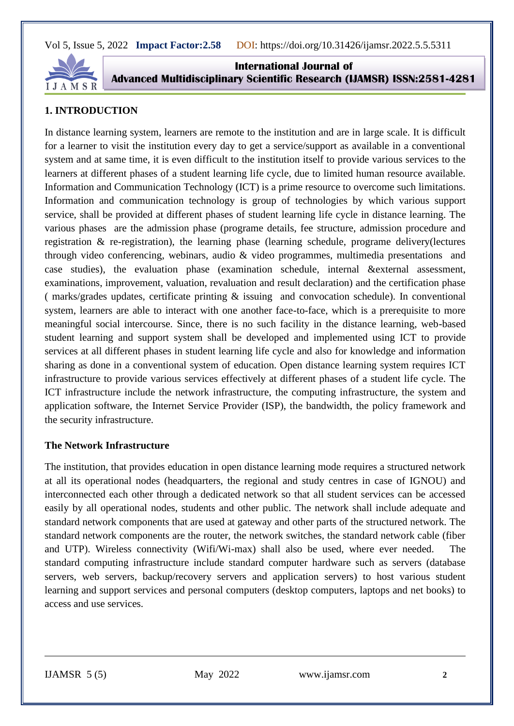

**International Journal of Advanced Multidisciplinary Scientific Research (IJAMSR) ISSN:2581-4281**

## **1. INTRODUCTION**

In distance learning system, learners are remote to the institution and are in large scale. It is difficult for a learner to visit the institution every day to get a service/support as available in a conventional system and at same time, it is even difficult to the institution itself to provide various services to the learners at different phases of a student learning life cycle, due to limited human resource available. Information and Communication Technology (ICT) is a prime resource to overcome such limitations. Information and communication technology is group of technologies by which various support service, shall be provided at different phases of student learning life cycle in distance learning. The various phases are the admission phase (programe details, fee structure, admission procedure and registration & re-registration), the learning phase (learning schedule, programe delivery(lectures through video conferencing, webinars, audio & video programmes, multimedia presentations and case studies), the evaluation phase (examination schedule, internal &external assessment, examinations, improvement, valuation, revaluation and result declaration) and the certification phase ( marks/grades updates, certificate printing & issuing and convocation schedule). In conventional system, learners are able to interact with one another face-to-face, which is a prerequisite to more meaningful social intercourse. Since, there is no such facility in the distance learning, web-based student learning and support system shall be developed and implemented using ICT to provide services at all different phases in student learning life cycle and also for knowledge and information sharing as done in a conventional system of education. Open distance learning system requires ICT infrastructure to provide various services effectively at different phases of a student life cycle. The ICT infrastructure include the network infrastructure, the computing infrastructure, the system and application software, the Internet Service Provider (ISP), the bandwidth, the policy framework and the security infrastructure.

#### **The Network Infrastructure**

The institution, that provides education in open distance learning mode requires a structured network at all its operational nodes (headquarters, the regional and study centres in case of IGNOU) and interconnected each other through a dedicated network so that all student services can be accessed easily by all operational nodes, students and other public. The network shall include adequate and standard network components that are used at gateway and other parts of the structured network. The standard network components are the router, the network switches, the standard network cable (fiber and UTP). Wireless connectivity (Wifi/Wi-max) shall also be used, where ever needed. The standard computing infrastructure include standard computer hardware such as servers (database servers, web servers, backup/recovery servers and application servers) to host various student learning and support services and personal computers (desktop computers, laptops and net books) to access and use services.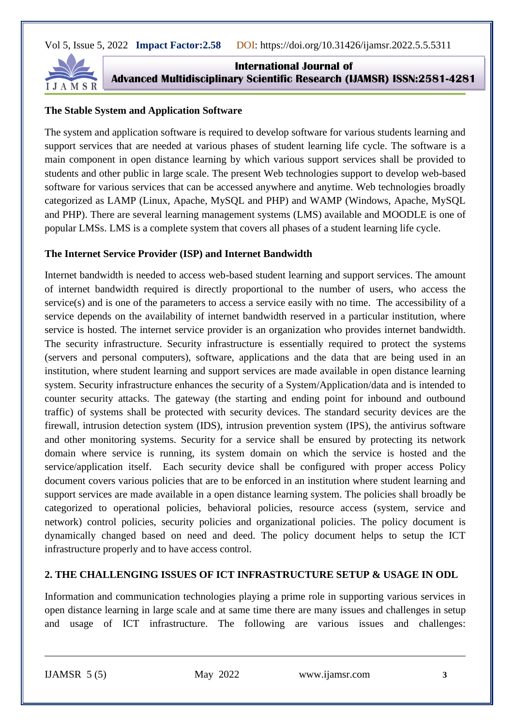

**International Journal of Advanced Multidisciplinary Scientific Research (IJAMSR) ISSN:2581-4281**

## **The Stable System and Application Software**

The system and application software is required to develop software for various students learning and support services that are needed at various phases of student learning life cycle. The software is a main component in open distance learning by which various support services shall be provided to students and other public in large scale. The present Web technologies support to develop web-based software for various services that can be accessed anywhere and anytime. Web technologies broadly categorized as LAMP (Linux, Apache, MySQL and PHP) and WAMP (Windows, Apache, MySQL and PHP). There are several learning management systems (LMS) available and MOODLE is one of popular LMSs. LMS is a complete system that covers all phases of a student learning life cycle.

## **The Internet Service Provider (ISP) and Internet Bandwidth**

Internet bandwidth is needed to access web-based student learning and support services. The amount of internet bandwidth required is directly proportional to the number of users, who access the service(s) and is one of the parameters to access a service easily with no time. The accessibility of a service depends on the availability of internet bandwidth reserved in a particular institution, where service is hosted. The internet service provider is an organization who provides internet bandwidth. The security infrastructure. Security infrastructure is essentially required to protect the systems (servers and personal computers), software, applications and the data that are being used in an institution, where student learning and support services are made available in open distance learning system. Security infrastructure enhances the security of a System/Application/data and is intended to counter security attacks. The gateway (the starting and ending point for inbound and outbound traffic) of systems shall be protected with security devices. The standard security devices are the firewall, intrusion detection system (IDS), intrusion prevention system (IPS), the antivirus software and other monitoring systems. Security for a service shall be ensured by protecting its network domain where service is running, its system domain on which the service is hosted and the service/application itself. Each security device shall be configured with proper access Policy document covers various policies that are to be enforced in an institution where student learning and support services are made available in a open distance learning system. The policies shall broadly be categorized to operational policies, behavioral policies, resource access (system, service and network) control policies, security policies and organizational policies. The policy document is dynamically changed based on need and deed. The policy document helps to setup the ICT infrastructure properly and to have access control.

## **2. THE CHALLENGING ISSUES OF ICT INFRASTRUCTURE SETUP & USAGE IN ODL**

Information and communication technologies playing a prime role in supporting various services in open distance learning in large scale and at same time there are many issues and challenges in setup and usage of ICT infrastructure. The following are various issues and challenges: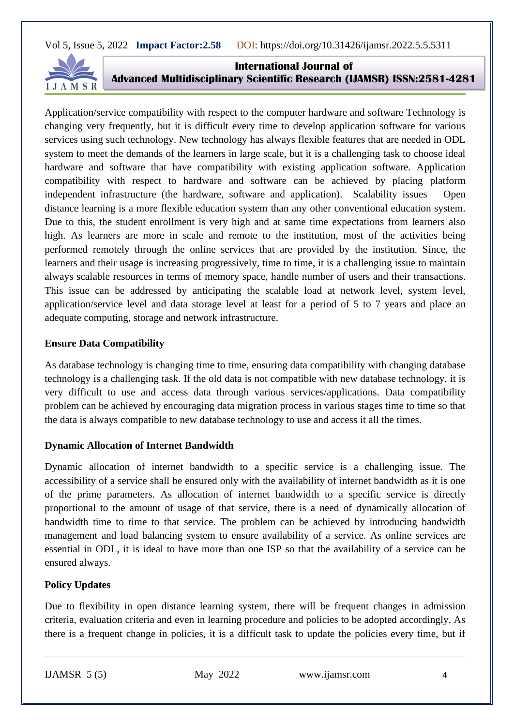

**International Journal of Advanced Multidisciplinary Scientific Research (IJAMSR) ISSN:2581-4281**

Application/service compatibility with respect to the computer hardware and software Technology is changing very frequently, but it is difficult every time to develop application software for various services using such technology. New technology has always flexible features that are needed in ODL system to meet the demands of the learners in large scale, but it is a challenging task to choose ideal hardware and software that have compatibility with existing application software. Application compatibility with respect to hardware and software can be achieved by placing platform independent infrastructure (the hardware, software and application). Scalability issues Open distance learning is a more flexible education system than any other conventional education system. Due to this, the student enrollment is very high and at same time expectations from learners also high. As learners are more in scale and remote to the institution, most of the activities being performed remotely through the online services that are provided by the institution. Since, the learners and their usage is increasing progressively, time to time, it is a challenging issue to maintain always scalable resources in terms of memory space, handle number of users and their transactions. This issue can be addressed by anticipating the scalable load at network level, system level, application/service level and data storage level at least for a period of 5 to 7 years and place an adequate computing, storage and network infrastructure.

#### **Ensure Data Compatibility**

As database technology is changing time to time, ensuring data compatibility with changing database technology is a challenging task. If the old data is not compatible with new database technology, it is very difficult to use and access data through various services/applications. Data compatibility problem can be achieved by encouraging data migration process in various stages time to time so that the data is always compatible to new database technology to use and access it all the times.

## **Dynamic Allocation of Internet Bandwidth**

Dynamic allocation of internet bandwidth to a specific service is a challenging issue. The accessibility of a service shall be ensured only with the availability of internet bandwidth as it is one of the prime parameters. As allocation of internet bandwidth to a specific service is directly proportional to the amount of usage of that service, there is a need of dynamically allocation of bandwidth time to time to that service. The problem can be achieved by introducing bandwidth management and load balancing system to ensure availability of a service. As online services are essential in ODL, it is ideal to have more than one ISP so that the availability of a service can be ensured always.

## **Policy Updates**

Due to flexibility in open distance learning system, there will be frequent changes in admission criteria, evaluation criteria and even in learning procedure and policies to be adopted accordingly. As there is a frequent change in policies, it is a difficult task to update the policies every time, but if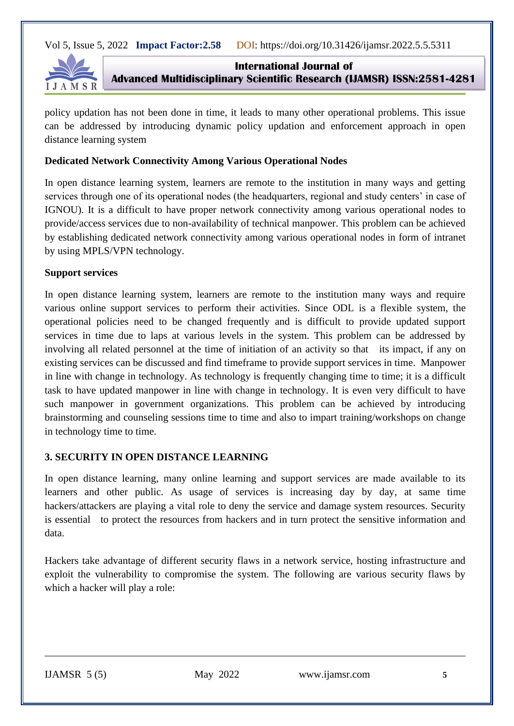

**International Journal of Advanced Multidisciplinary Scientific Research (IJAMSR) ISSN:2581-4281**

policy updation has not been done in time, it leads to many other operational problems. This issue can be addressed by introducing dynamic policy updation and enforcement approach in open distance learning system

### **Dedicated Network Connectivity Among Various Operational Nodes**

In open distance learning system, learners are remote to the institution in many ways and getting services through one of its operational nodes (the headquarters, regional and study centers' in case of IGNOU). It is a difficult to have proper network connectivity among various operational nodes to provide/access services due to non-availability of technical manpower. This problem can be achieved by establishing dedicated network connectivity among various operational nodes in form of intranet by using MPLS/VPN technology.

#### **Support services**

In open distance learning system, learners are remote to the institution many ways and require various online support services to perform their activities. Since ODL is a flexible system, the operational policies need to be changed frequently and is difficult to provide updated support services in time due to laps at various levels in the system. This problem can be addressed by involving all related personnel at the time of initiation of an activity so that its impact, if any on existing services can be discussed and find timeframe to provide support services in time. Manpower in line with change in technology. As technology is frequently changing time to time; it is a difficult task to have updated manpower in line with change in technology. It is even very difficult to have such manpower in government organizations. This problem can be achieved by introducing brainstorming and counseling sessions time to time and also to impart training/workshops on change in technology time to time.

#### **3. SECURITY IN OPEN DISTANCE LEARNING**

In open distance learning, many online learning and support services are made available to its learners and other public. As usage of services is increasing day by day, at same time hackers/attackers are playing a vital role to deny the service and damage system resources. Security is essential to protect the resources from hackers and in turn protect the sensitive information and data.

Hackers take advantage of different security flaws in a network service, hosting infrastructure and exploit the vulnerability to compromise the system. The following are various security flaws by which a hacker will play a role: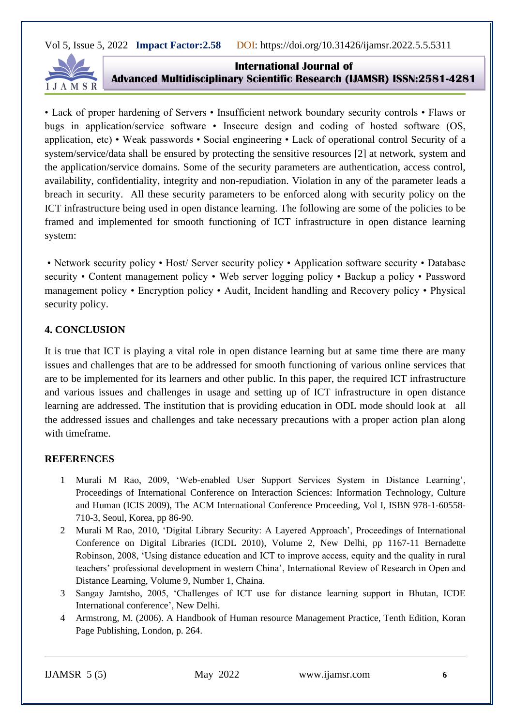

**International Journal of Advanced Multidisciplinary Scientific Research (IJAMSR) ISSN:2581-4281**

• Lack of proper hardening of Servers • Insufficient network boundary security controls • Flaws or bugs in application/service software • Insecure design and coding of hosted software (OS, application, etc) • Weak passwords • Social engineering • Lack of operational control Security of a system/service/data shall be ensured by protecting the sensitive resources [2] at network, system and the application/service domains. Some of the security parameters are authentication, access control, availability, confidentiality, integrity and non-repudiation. Violation in any of the parameter leads a breach in security. All these security parameters to be enforced along with security policy on the ICT infrastructure being used in open distance learning. The following are some of the policies to be framed and implemented for smooth functioning of ICT infrastructure in open distance learning system:

• Network security policy • Host/ Server security policy • Application software security • Database security • Content management policy • Web server logging policy • Backup a policy • Password management policy • Encryption policy • Audit, Incident handling and Recovery policy • Physical security policy.

## **4. CONCLUSION**

It is true that ICT is playing a vital role in open distance learning but at same time there are many issues and challenges that are to be addressed for smooth functioning of various online services that are to be implemented for its learners and other public. In this paper, the required ICT infrastructure and various issues and challenges in usage and setting up of ICT infrastructure in open distance learning are addressed. The institution that is providing education in ODL mode should look at all the addressed issues and challenges and take necessary precautions with a proper action plan along with timeframe.

#### **REFERENCES**

- 1 Murali M Rao, 2009, 'Web-enabled User Support Services System in Distance Learning', Proceedings of International Conference on Interaction Sciences: Information Technology, Culture and Human (ICIS 2009), The ACM International Conference Proceeding, Vol I, ISBN 978-1-60558- 710-3, Seoul, Korea, pp 86-90.
- 2 Murali M Rao, 2010, 'Digital Library Security: A Layered Approach', Proceedings of International Conference on Digital Libraries (ICDL 2010), Volume 2, New Delhi, pp 1167-11 Bernadette Robinson, 2008, 'Using distance education and ICT to improve access, equity and the quality in rural teachers' professional development in western China', International Review of Research in Open and Distance Learning, Volume 9, Number 1, Chaina.
- 3 Sangay Jamtsho, 2005, 'Challenges of ICT use for distance learning support in Bhutan, ICDE International conference', New Delhi.
- 4 Armstrong, M. (2006). A Handbook of Human resource Management Practice, Tenth Edition, Koran Page Publishing, London, p. 264.